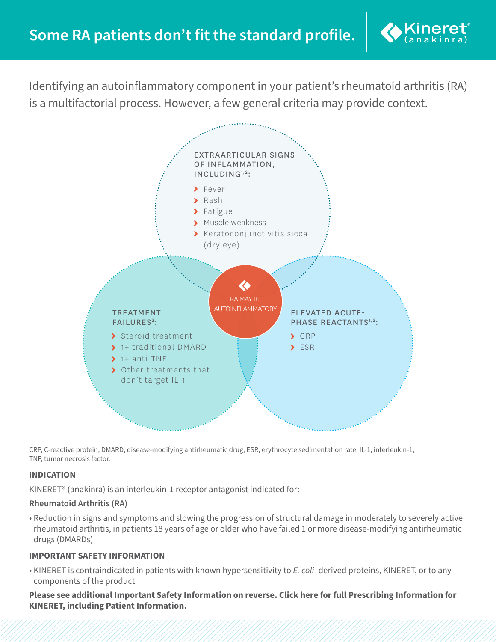

Identifying an autoinflammatory component in your patient's rheumatoid arthritis (RA) is a multifactorial process. However, a few general criteria may provide context.



CRP, C-reactive protein; DMARD, disease-modifying antirheumatic drug; ESR, erythrocyte sedimentation rate; IL-1, interleukin-1; TNF, tumor necrosis factor.

# **INDICATION**

KINERET® (anakinra) is an interleukin-1 receptor antagonist indicated for:

## **Rheumatoid Arthritis (RA)**

• Reduction in signs and symptoms and slowing the progression of structural damage in moderately to severely active rheumatoid arthritis, in patients 18 years of age or older who have failed 1 or more disease-modifying antirheumatic drugs (DMARDs)

### **IMPORTANT SAFETY INFORMATION**

• KINERET is contraindicated in patients with known hypersensitivity to *E. coli*–derived proteins, KINERET, or to any components of the product

**Please see additional Important Safety Information on reverse. [Click here for full Prescribing Information](https://www.kineretrx.com/pdf/Full-Prescribing-Information-English.pdf) for KINERET, including Patient Information.**